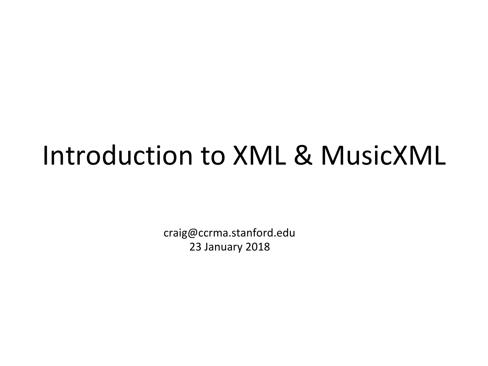#### Introduction to XML & MusicXML

craig@ccrma.stanford.edu 23 January 2018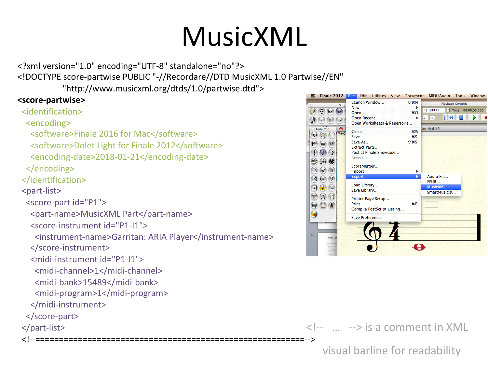## MusicXML

<?xml version="1.0" encoding="UTF-8" standalone="no"?> <!DOCTYPE score-partwise PUBLIC "-//Recordare//DTD MusicXML 1.0 Partwise//EN"

 "http://www.musicxml.org/dtds/1.0/partwise.dtd"> 

#### **<score-partwise>**

 <identification> 

 <encoding> 

<software>Finale 2016 for Mac</software>

<software>Dolet Light for Finale 2012</software>

 <encoding-date>2018-01-21</encoding-date> 

 </encoding> 

 </identification> 

 <part-list> 

<score-part id="P1">

```
<part-name>MusicXML Part</part-name>
```
 <score-instrument id="P1-I1"> 

 <instrument-name>Garritan: ARIA Player</instrument-name> 

 </score-instrument> 

<midi-instrument id="P1-I1">

 <midi-channel>1</midi-channel> 

 <midi-bank>15489</midi-bank> 

 <midi-program>1</midi-program> 

 </midi-instrument> 

 </score-part> 

 </part-list> 

 <!--=========================================================--> 



 $\langle$ !--  $\ldots$  --> is a comment in XML

visual barline for readability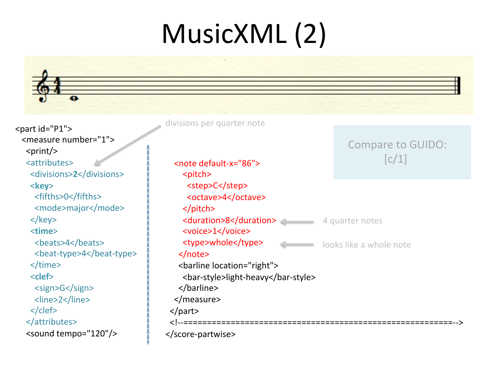# MusicXML (2)

<part id="P1"> <measure number="1">  $<$ print $/$ > <attributes> <divisions>**2**</divisions> <**key**> <fifths>0</fifths> <mode>major</mode> </key> <**time**> <beats>4</beats> <beat-type>4</beat-type> </time> <**clef**> <sign>G</sign> <line>2</line> </clef> </attributes> <sound tempo="120"/> 

 <note default-x="86"> <pitch> <step>C</step> <octave>4</octave> </pitch> **<duration>8</duration>** 4 quarter notes <voice>1</voice> <type>whole</type> </note> <barline location="right"> <bar-style>light-heavy</bar-style> </barline> </measure> </part> <!--=========================================================--> </score-partwise> Compare to GUIDO:  $[c/1]$ divisions per quarter note looks like a whole note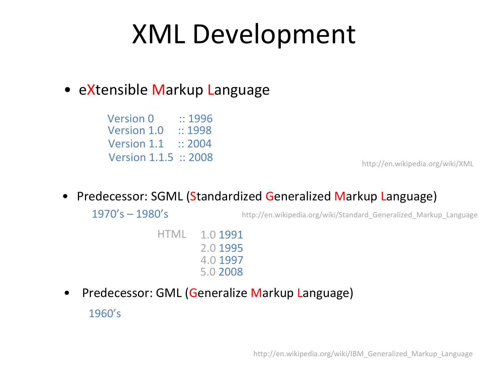#### XML Development

#### • eXtensible Markup Language

Version 1.0 :: 1998 Version 1.1 :: 2004 Version 1.1.5 :: 2008 **Version 0**  $\therefore$  **1996** 

http://en.wikipedia.org/wiki/XML 

Predecessor: SGML (Standardized Generalized Markup Language)

 $1970's - 1980's$ 

http://en.wikipedia.org/wiki/Standard\_Generalized\_Markup\_Language

HTML 1.0 1991 2.0 1995 4.0 1997 5.0 2008 

Predecessor: GML (Generalize Markup Language) 1960's 

http://en.wikipedia.org/wiki/IBM\_Generalized\_Markup\_Language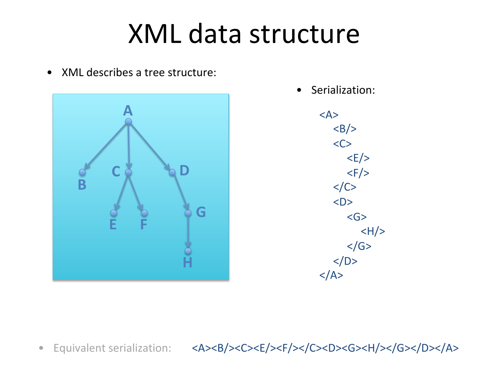#### XML data structure

• XML describes a tree structure:



• Serialization: 

<A>  $<$ B/ $>$  $<\mathsf{C}\mathsf{>}$  $\langle E/ \rangle$  $\langle F/ \rangle$  $$  <D> <G>  $<$ H $/$ >  $<$ /G>  $<$ /D>  $<$ /A>

• Equivalent serialization: <A><B/><C><E/>><C><F/></C></C><D><G><H/></G></D></A>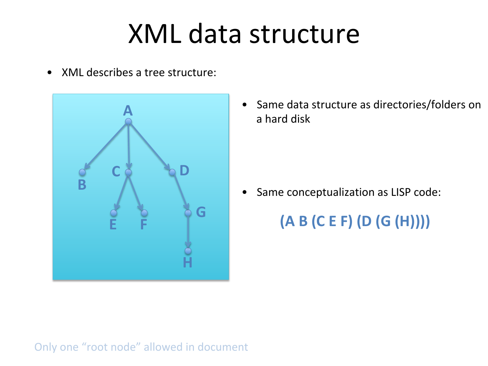#### XML data structure

• XML describes a tree structure:



• Same data structure as directories/folders on a hard disk

• Same conceptualization as LISP code:

**(A B (C E F) (D (G (H))))** 

#### Only one "root node" allowed in document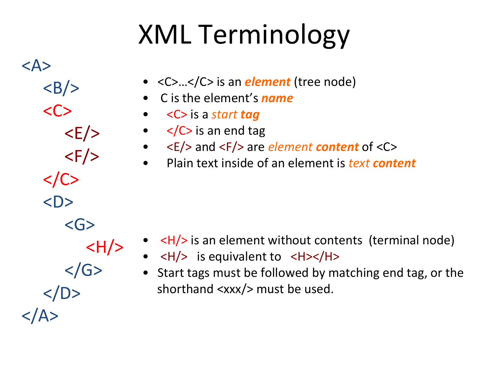# XML Terminology

<A>  $\langle B \rangle$  $\langle C \rangle$  $\langle E/ \rangle$  $\langle F/ \rangle$  $\langle$ /C>  $<$ D>  $<$ G $>$  $\langle H \rangle$  $<$ /G>  $<$ /D>  $<$ /A>

- <C>...</C> is an *element* (tree node)
- C is the element's *name*
- < C> is a *start tag*
- $\lt/C>$  is an end tag
- <E/> and <F/> are *element* content of <C>
- **Plain text inside of an element is** *text* **content**

- $\left\langle H \right\rangle$  is an element without contents (terminal node)
- $\langle H \rangle$  is equivalent to  $\langle H \rangle$
- Start tags must be followed by matching end tag, or the shorthand  $\langle xxx/2 \rangle$  must be used.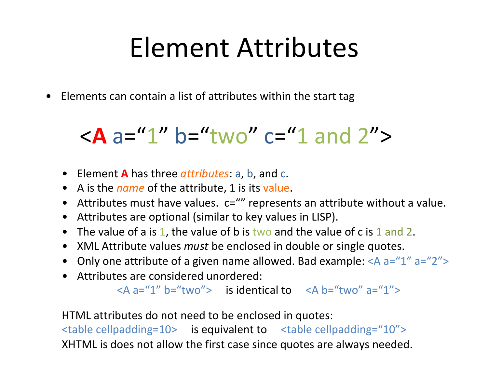#### Element Attributes

• Elements can contain a list of attributes within the start tag

#### $\langle A \rangle$  a="1" b="two" c="1 and 2">

- Element **A** has three *attributes*: a, b, and c.
- A is the *name* of the attribute, 1 is its value.
- Attributes must have values.  $c = 1$ " represents an attribute without a value.
- Attributes are optional (similar to key values in LISP).
- The value of a is 1, the value of b is two and the value of c is 1 and 2.
- XML Attribute values *must* be enclosed in double or single quotes.
- Only one attribute of a given name allowed. Bad example:  $\langle A \rangle$  a="1" a="2">
- Attributes are considered unordered:

 $\langle A \rangle$  a="1" b="two"> is identical to  $\langle A \rangle$  b="two" a="1">

HTML attributes do not need to be enclosed in quotes:

 $\lt$ table cellpadding=10> is equivalent to  $\lt$ table cellpadding="10"> XHTML is does not allow the first case since quotes are always needed.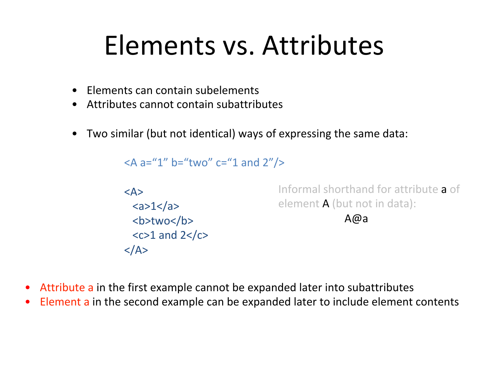#### Elements vs. Attributes

- Elements can contain subelements
- $\bullet$  Attributes cannot contain subattributes
- Two similar (but not identical) ways of expressing the same data:

```
\langle A a="1" b="two" c="1 and 2"/>
<A>	
 <a>1</a><b>two</b>
 <<>1 and 2</lt/<math></A>Informal shorthand for attribute a of
                                     element A (but not in data):
                                                    																								A@a
```
- Attribute a in the first example cannot be expanded later into subattributes
- Element a in the second example can be expanded later to include element contents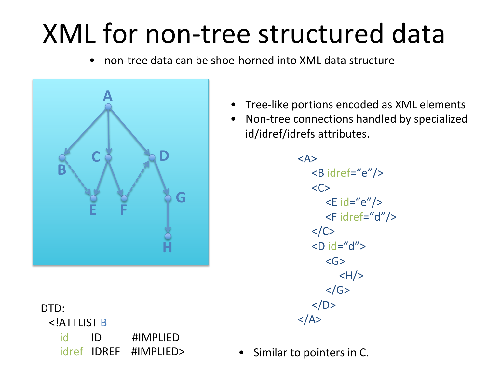## XML for non-tree structured data

• non-tree data can be shoe-horned into XML data structure



DTD: <!ATTLIST B id ID #IMPLIED

- Tree-like portions encoded as XML elements
- Non-tree connections handled by specialized id/idref/idrefs attributes.

<A>  $<$ B idref="e"/>  $<$ C $>$  $\le$  E id="e"/>  $\epsilon$ Fidref="d"/>  $$  $<$ D id="d"> <G>  $<$ H $/$  $$  $$  $$ 

idref IDREF #IMPLIED> • Similar to pointers in C.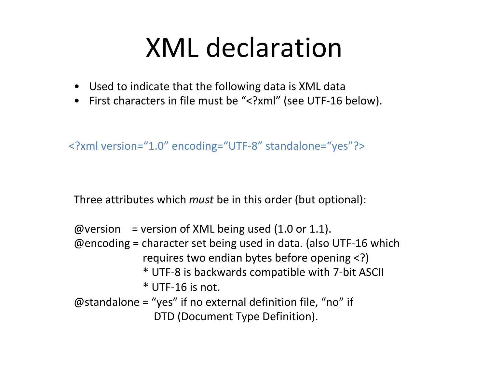#### XML declaration

- Used to indicate that the following data is XML data
- First characters in file must be "<?xml" (see UTF-16 below).

<?xml version="1.0" encoding="UTF-8" standalone="yes"?> 

Three attributes which *must* be in this order (but optional):

 $@version = version of XML being used (1.0 or 1.1).$  $@$  encoding = character set being used in data. (also UTF-16 which requires two endian bytes before opening  $\langle$ ?) \* UTF-8 is backwards compatible with 7-bit ASCII  $*$  UTF-16 is not.  $\omega$ standalone = "yes" if no external definition file, "no" if DTD (Document Type Definition).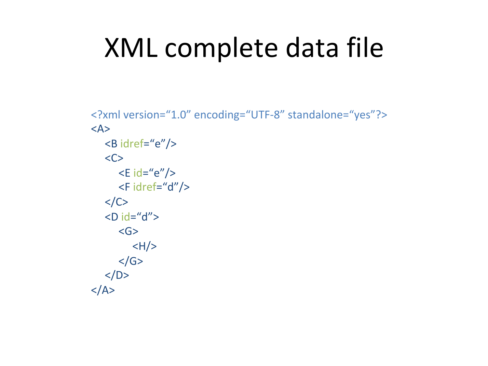### XML complete data file

```
<?xml version="1.0" encoding="UTF-8" standalone="yes"?>
<A>	
   <B idref="e"/>
   <\mathsf{C}\mathsf{>}\le E id="e"/>
      \epsilonFidref="d"/>
   </C<D id="d">
      										<G>	
         <H/</G></D></A>
```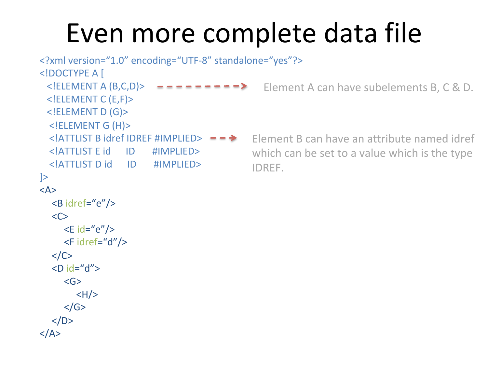#### Even more complete data file

```
<?xml	version="1.0"	encoding="UTF-8"	standalone="yes"?>	
<! DOCTYPE A [
 \le!ELEMENT A (B,C,D)> - - - - - - - - >			<!ELEMENT	C	(E,F)>	
 			<!ELEMENT	D	(G)>	
  				<!ELEMENT	G	(H)>	
  \leq | ATTLIST B idref IDREF #IMPLIED> = \Rightarrow				<!ATTLIST	E	id						ID							#IMPLIED>	
  				<!ATTLIST	D	id						ID							#IMPLIED>	
\geq<A>	
  <B idref="e"/>
  \langle C \rangle\le E id="e"/>
      \epsilonFidref="d"/>
  					</C>	
  <D id="d">
     										<G>	
        \langle H \rangle</GS</D>
</A>Element A can have subelements B, C & D.
                                                    Element B can have an attribute named idref
                                                    which can be set to a value which is the type
                                                    IDREF.
```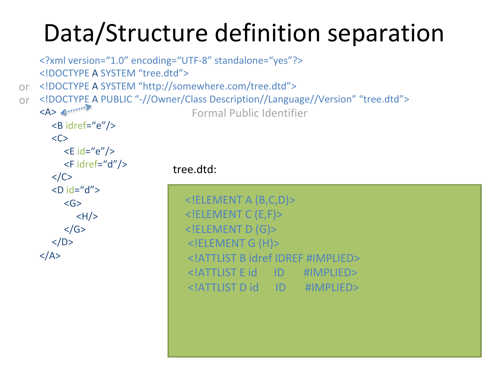#### Data/Structure definition separation

```
<?xml version="1.0" encoding="UTF-8" standalone="yes"?>
    <!DOCTYPE	A	SYSTEM	"tree.dtd">	
    <!DOCTYPE	A	SYSTEM	"http://somewhere.com/tree.dtd">	
    <!DOCTYPE A PUBLIC "-//Owner/Class Description//Language//Version" "tree.dtd">
    <\!\!A\!\!> \leftarrow					<B	idref="e"/>	
       <\mathsf{C}\mathsf{>}\le E id="e"/>
          \epsilonFidref="d"/>
       \langle/C><D id="d">
          										<G>	
             <H/</G></D>
    </A>	
                                        \leq!ELEMENT A (B,C,D)>
                                        			<!ELEMENT	C	(E,F)>	
                                        			<!ELEMENT	D	(G)>	
                                        				<!ELEMENT	G	(H)>	
                                        				<!ATTLIST	B	idref	IDREF	#IMPLIED>	
                                        				<!ATTLIST	E	id						ID							#IMPLIED>	
                                        				<!ATTLIST	D	id						ID							#IMPLIED>	
                                     tree.dtd:	
                                         Formal	Public	Identifier	
or	
or
```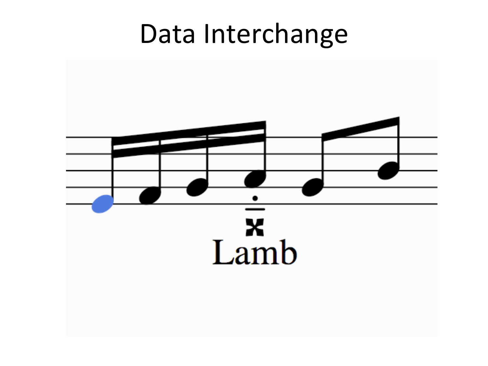#### Data Interchange

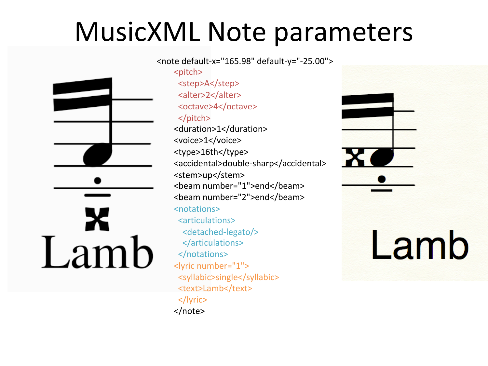#### MusicXML Note parameters

X Lamb

<note default-x="165.98" default-y="-25.00"> <pitch> <step>A</step> <alter>2</alter> <octave>4</octave> </pitch> <duration>1</duration> <voice>1</voice> <type>16th</type> <accidental>double-sharp</accidental> <stem>up</stem> <beam number="1">end</beam> <beam number="2">end</beam> <notations> <articulations> <detached-legato/> </articulations> </notations> <lyric number="1"> <syllabic>single</syllabic> <text>Lamb</text> </lyric> </note> 

Lamb